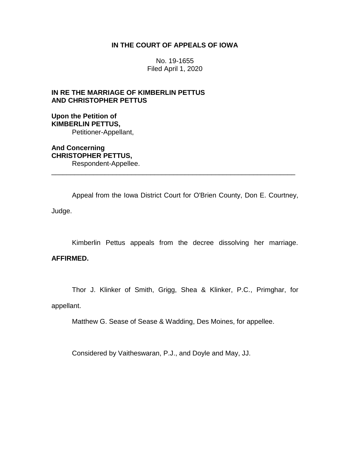### **IN THE COURT OF APPEALS OF IOWA**

No. 19-1655 Filed April 1, 2020

## **IN RE THE MARRIAGE OF KIMBERLIN PETTUS AND CHRISTOPHER PETTUS**

### **Upon the Petition of KIMBERLIN PETTUS,** Petitioner-Appellant,

**And Concerning CHRISTOPHER PETTUS,** Respondent-Appellee.

Appeal from the Iowa District Court for O'Brien County, Don E. Courtney, Judge.

\_\_\_\_\_\_\_\_\_\_\_\_\_\_\_\_\_\_\_\_\_\_\_\_\_\_\_\_\_\_\_\_\_\_\_\_\_\_\_\_\_\_\_\_\_\_\_\_\_\_\_\_\_\_\_\_\_\_\_\_\_\_\_\_

Kimberlin Pettus appeals from the decree dissolving her marriage.

# **AFFIRMED.**

Thor J. Klinker of Smith, Grigg, Shea & Klinker, P.C., Primghar, for

appellant.

Matthew G. Sease of Sease & Wadding, Des Moines, for appellee.

Considered by Vaitheswaran, P.J., and Doyle and May, JJ.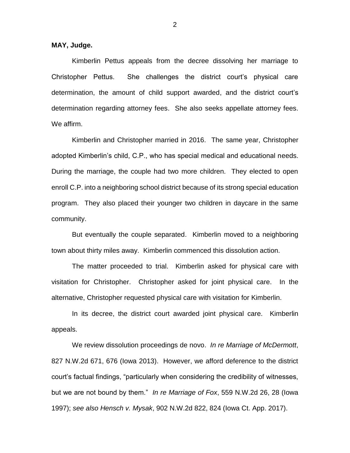**MAY, Judge.**

Kimberlin Pettus appeals from the decree dissolving her marriage to Christopher Pettus. She challenges the district court's physical care determination, the amount of child support awarded, and the district court's determination regarding attorney fees. She also seeks appellate attorney fees. We affirm.

Kimberlin and Christopher married in 2016. The same year, Christopher adopted Kimberlin's child, C.P., who has special medical and educational needs. During the marriage, the couple had two more children. They elected to open enroll C.P. into a neighboring school district because of its strong special education program. They also placed their younger two children in daycare in the same community.

But eventually the couple separated. Kimberlin moved to a neighboring town about thirty miles away. Kimberlin commenced this dissolution action.

The matter proceeded to trial. Kimberlin asked for physical care with visitation for Christopher. Christopher asked for joint physical care. In the alternative, Christopher requested physical care with visitation for Kimberlin.

In its decree, the district court awarded joint physical care. Kimberlin appeals.

We review dissolution proceedings de novo. *In re Marriage of McDermott*, 827 N.W.2d 671, 676 (Iowa 2013). However, we afford deference to the district court's factual findings, "particularly when considering the credibility of witnesses, but we are not bound by them." *In re Marriage of Fox*, 559 N.W.2d 26, 28 (Iowa 1997); *see also Hensch v. Mysak*, 902 N.W.2d 822, 824 (Iowa Ct. App. 2017).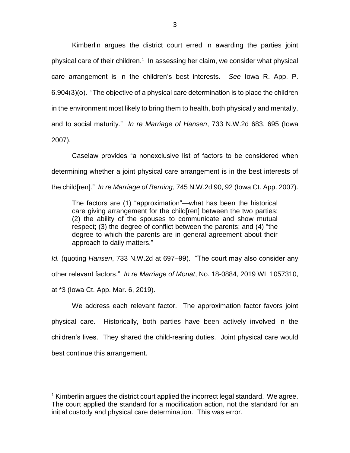Kimberlin argues the district court erred in awarding the parties joint physical care of their children.<sup>1</sup> In assessing her claim, we consider what physical care arrangement is in the children's best interests. *See* Iowa R. App. P. 6.904(3)(o). "The objective of a physical care determination is to place the children in the environment most likely to bring them to health, both physically and mentally, and to social maturity." *In re Marriage of Hansen*, 733 N.W.2d 683, 695 (Iowa 2007).

Caselaw provides "a nonexclusive list of factors to be considered when determining whether a joint physical care arrangement is in the best interests of the child[ren]." *In re Marriage of Berning*, 745 N.W.2d 90, 92 (Iowa Ct. App. 2007).

The factors are (1) "approximation"—what has been the historical care giving arrangement for the child[ren] between the two parties; (2) the ability of the spouses to communicate and show mutual respect; (3) the degree of conflict between the parents; and (4) "the degree to which the parents are in general agreement about their approach to daily matters."

*Id.* (quoting *Hansen*, 733 N.W.2d at 697–99). "The court may also consider any other relevant factors." *In re Marriage of Monat*, No. 18-0884, 2019 WL 1057310, at \*3 (Iowa Ct. App. Mar. 6, 2019).

We address each relevant factor. The approximation factor favors joint physical care. Historically, both parties have been actively involved in the children's lives. They shared the child-rearing duties. Joint physical care would best continue this arrangement.

 $\overline{a}$ 

 $1$  Kimberlin argues the district court applied the incorrect legal standard. We agree. The court applied the standard for a modification action, not the standard for an initial custody and physical care determination. This was error.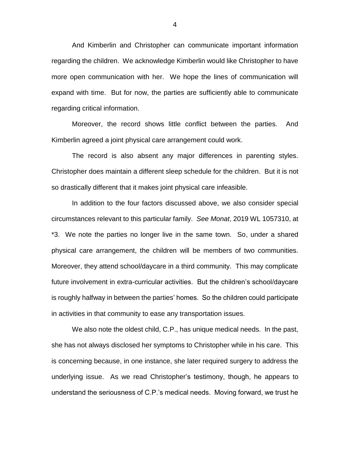And Kimberlin and Christopher can communicate important information regarding the children. We acknowledge Kimberlin would like Christopher to have more open communication with her. We hope the lines of communication will expand with time. But for now, the parties are sufficiently able to communicate regarding critical information.

Moreover, the record shows little conflict between the parties. And Kimberlin agreed a joint physical care arrangement could work.

The record is also absent any major differences in parenting styles. Christopher does maintain a different sleep schedule for the children. But it is not so drastically different that it makes joint physical care infeasible.

In addition to the four factors discussed above, we also consider special circumstances relevant to this particular family. *See Monat*, 2019 WL 1057310, at \*3. We note the parties no longer live in the same town. So, under a shared physical care arrangement, the children will be members of two communities. Moreover, they attend school/daycare in a third community. This may complicate future involvement in extra-curricular activities. But the children's school/daycare is roughly halfway in between the parties' homes. So the children could participate in activities in that community to ease any transportation issues.

We also note the oldest child, C.P., has unique medical needs. In the past, she has not always disclosed her symptoms to Christopher while in his care. This is concerning because, in one instance, she later required surgery to address the underlying issue. As we read Christopher's testimony, though, he appears to understand the seriousness of C.P.'s medical needs. Moving forward, we trust he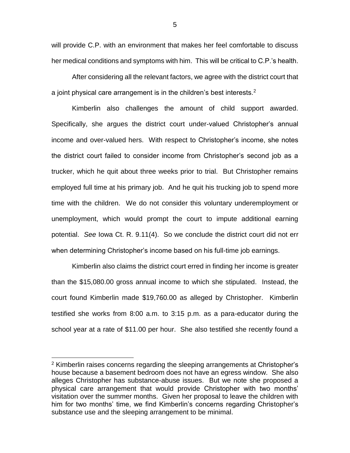will provide C.P. with an environment that makes her feel comfortable to discuss her medical conditions and symptoms with him. This will be critical to C.P.'s health.

After considering all the relevant factors, we agree with the district court that a joint physical care arrangement is in the children's best interests.<sup>2</sup>

Kimberlin also challenges the amount of child support awarded. Specifically, she argues the district court under-valued Christopher's annual income and over-valued hers. With respect to Christopher's income, she notes the district court failed to consider income from Christopher's second job as a trucker, which he quit about three weeks prior to trial. But Christopher remains employed full time at his primary job. And he quit his trucking job to spend more time with the children. We do not consider this voluntary underemployment or unemployment, which would prompt the court to impute additional earning potential. *See* Iowa Ct. R. 9.11(4). So we conclude the district court did not err when determining Christopher's income based on his full-time job earnings.

Kimberlin also claims the district court erred in finding her income is greater than the \$15,080.00 gross annual income to which she stipulated. Instead, the court found Kimberlin made \$19,760.00 as alleged by Christopher. Kimberlin testified she works from 8:00 a.m. to 3:15 p.m. as a para-educator during the school year at a rate of \$11.00 per hour. She also testified she recently found a

 $\overline{a}$ 

5

<sup>&</sup>lt;sup>2</sup> Kimberlin raises concerns regarding the sleeping arrangements at Christopher's house because a basement bedroom does not have an egress window. She also alleges Christopher has substance-abuse issues. But we note she proposed a physical care arrangement that would provide Christopher with two months' visitation over the summer months. Given her proposal to leave the children with him for two months' time, we find Kimberlin's concerns regarding Christopher's substance use and the sleeping arrangement to be minimal.